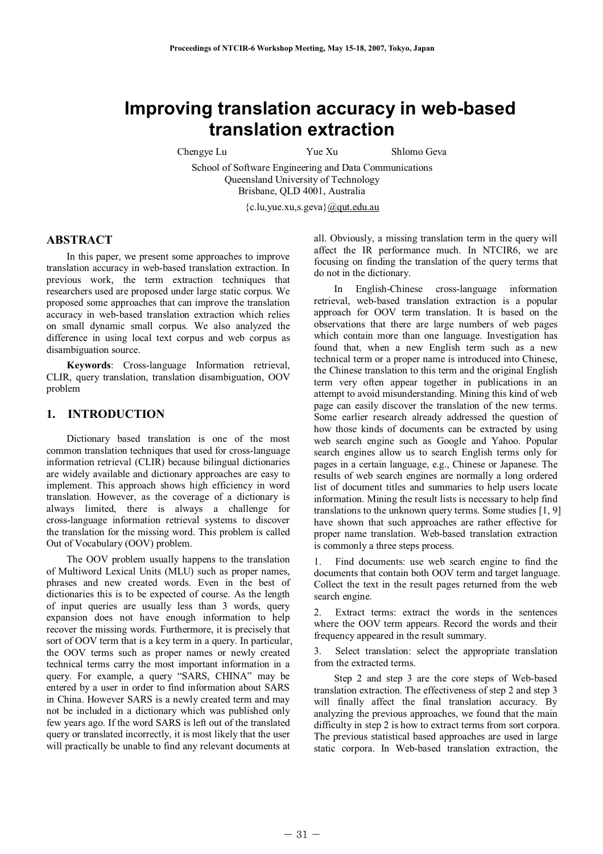# **Improving translation accuracy in web-based translation extraction**

Chengye Lu Yue Xu Shlomo Geva

School of Software Engineering and Data Communications Queensland University of Technology Brisbane, QLD 4001, Australia

{c.lu,yue.xu,s.geva}@qut.edu.au

## **ABSTRACT**

In this paper, we present some approaches to improve translation accuracy in web-based translation extraction. In previous work, the term extraction techniques that researchers used are proposed under large static corpus. We proposed some approaches that can improve the translation accuracy in web-based translation extraction which relies on small dynamic small corpus. We also analyzed the difference in using local text corpus and web corpus as disambiguation source.

**Keywords**: Cross-language Information retrieval, CLIR, query translation, translation disambiguation, OOV problem

## **1. INTRODUCTION**

Dictionary based translation is one of the most common translation techniques that used for cross-language information retrieval (CLIR) because bilingual dictionaries are widely available and dictionary approaches are easy to implement. This approach shows high efficiency in word translation. However, as the coverage of a dictionary is always limited, there is always a challenge for cross-language information retrieval systems to discover the translation for the missing word. This problem is called Out of Vocabulary (OOV) problem.

The OOV problem usually happens to the translation of Multiword Lexical Units (MLU) such as proper names, phrases and new created words. Even in the best of dictionaries this is to be expected of course. As the length of input queries are usually less than 3 words, query expansion does not have enough information to help recover the missing words. Furthermore, it is precisely that sort of OOV term that is a key term in a query. In particular, the OOV terms such as proper names or newly created technical terms carry the most important information in a query. For example, a query "SARS, CHINA" may be entered by a user in order to find information about SARS in China. However SARS is a newly created term and may not be included in a dictionary which was published only few years ago. If the word SARS is left out of the translated query or translated incorrectly, it is most likely that the user will practically be unable to find any relevant documents at

all. Obviously, a missing translation term in the query will affect the IR performance much. In NTCIR6, we are focusing on finding the translation of the query terms that do not in the dictionary.

In English-Chinese cross-language information retrieval, web-based translation extraction is a popular approach for OOV term translation. It is based on the observations that there are large numbers of web pages which contain more than one language. Investigation has found that, when a new English term such as a new technical term or a proper name is introduced into Chinese, the Chinese translation to this term and the original English term very often appear together in publications in an attempt to avoid misunderstanding. Mining this kind of web page can easily discover the translation of the new terms. Some earlier research already addressed the question of how those kinds of documents can be extracted by using web search engine such as Google and Yahoo. Popular search engines allow us to search English terms only for pages in a certain language, e.g., Chinese or Japanese. The results of web search engines are normally a long ordered list of document titles and summaries to help users locate information. Mining the result lists is necessary to help find translations to the unknown query terms. Some studies [1, 9] have shown that such approaches are rather effective for proper name translation. Web-based translation extraction is commonly a three steps process.

1. Find documents: use web search engine to find the documents that contain both OOV term and target language. Collect the text in the result pages returned from the web search engine.

2. Extract terms: extract the words in the sentences where the OOV term appears. Record the words and their frequency appeared in the result summary.

3. Select translation: select the appropriate translation from the extracted terms.

Step 2 and step 3 are the core steps of Web-based translation extraction. The effectiveness of step 2 and step 3 will finally affect the final translation accuracy. By analyzing the previous approaches, we found that the main difficulty in step 2 is how to extract terms from sort corpora. The previous statistical based approaches are used in large static corpora. In Web-based translation extraction, the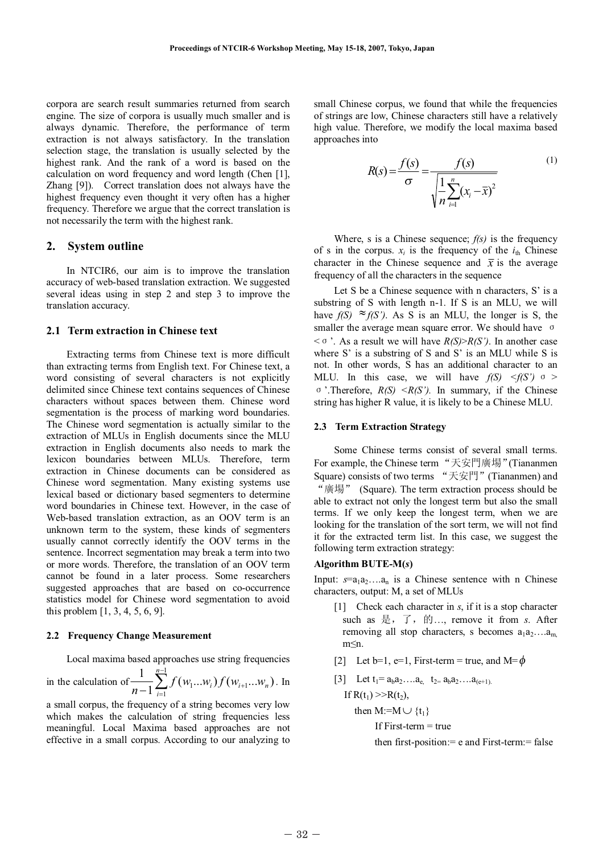corpora are search result summaries returned from search engine. The size of corpora is usually much smaller and is always dynamic. Therefore, the performance of term extraction is not always satisfactory. In the translation selection stage, the translation is usually selected by the highest rank. And the rank of a word is based on the calculation on word frequency and word length (Chen [1], Zhang [9]). Correct translation does not always have the highest frequency even thought it very often has a higher frequency. Therefore we argue that the correct translation is not necessarily the term with the highest rank.

#### **2. System outline**

In NTCIR6, our aim is to improve the translation accuracy of web-based translation extraction. We suggested several ideas using in step 2 and step 3 to improve the translation accuracy.

### **2.1 Term extraction in Chinese text**

Extracting terms from Chinese text is more difficult than extracting terms from English text. For Chinese text, a word consisting of several characters is not explicitly delimited since Chinese text contains sequences of Chinese characters without spaces between them. Chinese word segmentation is the process of marking word boundaries. The Chinese word segmentation is actually similar to the extraction of MLUs in English documents since the MLU extraction in English documents also needs to mark the lexicon boundaries between MLUs. Therefore, term extraction in Chinese documents can be considered as Chinese word segmentation. Many existing systems use lexical based or dictionary based segmenters to determine word boundaries in Chinese text. However, in the case of Web-based translation extraction, as an OOV term is an unknown term to the system, these kinds of segmenters usually cannot correctly identify the OOV terms in the sentence. Incorrect segmentation may break a term into two or more words. Therefore, the translation of an OOV term cannot be found in a later process. Some researchers suggested approaches that are based on co-occurrence statistics model for Chinese word segmentation to avoid this problem [1, 3, 4, 5, 6, 9].

#### **2.2 Frequency Change Measurement**

Local maxima based approaches use string frequencies in the calculation of  $\frac{1}{\sqrt{2}} \sum_{n=1}^{n-1}$  $-1\sum_{i=1}^{l} J\left(W_1...W_i\right)J\left(W_{i+1}\right)$ 1  $-\sum_{i=1} f(w_1...w_i) f(w_{i+1}...w_n)$ 1 *<sup>n</sup> i*  $\frac{1}{n-1} \sum_{i=1}^{n} f(w_1...w_i) f(w_{i+1}...w_n)$ . In

a small corpus, the frequency of a string becomes very low which makes the calculation of string frequencies less meaningful. Local Maxima based approaches are not effective in a small corpus. According to our analyzing to small Chinese corpus, we found that while the frequencies of strings are low, Chinese characters still have a relatively high value. Therefore, we modify the local maxima based approaches into

$$
R(s) = \frac{f(s)}{\sigma} = \frac{f(s)}{\sqrt{\frac{1}{n} \sum_{i=1}^{n} (x_i - \bar{x})^2}}
$$
 (1)

Where, s is a Chinese sequence; *f(s)* is the frequency of s in the corpus.  $x_i$  is the frequency of the  $i_{\text{th}}$  Chinese character in the Chinese sequence and  $\bar{x}$  is the average frequency of all the characters in the sequence

Let S be a Chinese sequence with n characters, S' is a substring of S with length n-1. If S is an MLU, we will have  $f(S) \approx f(S')$ . As S is an MLU, the longer is S, the smaller the average mean square error. We should have  $\sigma$  $<$   $\sigma$  '. As a result we will have *R(S)*>*R(S')*. In another case where S' is a substring of S and S' is an MLU while S is not. In other words, S has an additional character to an MLU. In this case, we will have  $f(S) < f(S')$   $\sigma >$  $\sigma$  '.Therefore,  $R(S) \leq R(S')$ . In summary, if the Chinese string has higher R value, it is likely to be a Chinese MLU.

#### **2.3 Term Extraction Strategy**

Some Chinese terms consist of several small terms. For example, the Chinese term "天安門廣場"(Tiananmen Square) consists of two terms "天安門" (Tiananmen) and "廣場" (Square). The term extraction process should be able to extract not only the longest term but also the small terms. If we only keep the longest term, when we are looking for the translation of the sort term, we will not find it for the extracted term list. In this case, we suggest the following term extraction strategy:

#### **Algorithm BUTE-M(***s***)**

Input:  $s=a_1a_2...a_n$  is a Chinese sentence with n Chinese characters, output: M, a set of MLUs

- [1] Check each character in *s*, if it is a stop character such as  …, remove it from *s*. After removing all stop characters, s becomes  $a_1 a_2 \dots a_m$ m≤n.
- [2] Let  $b=1$ ,  $e=1$ , First-term = true, and M= $\phi$
- [3] Let  $t_1 = a_b a_2 ... a_{e_1} t_2 = a_b a_2 ... a_{(e+1)}$ . If  $R(t_1) >> R(t_2)$ ,

then M:=M $\cup$ {t<sub>1</sub>}

If First-term  $=$  true

then first-position:= e and First-term:= false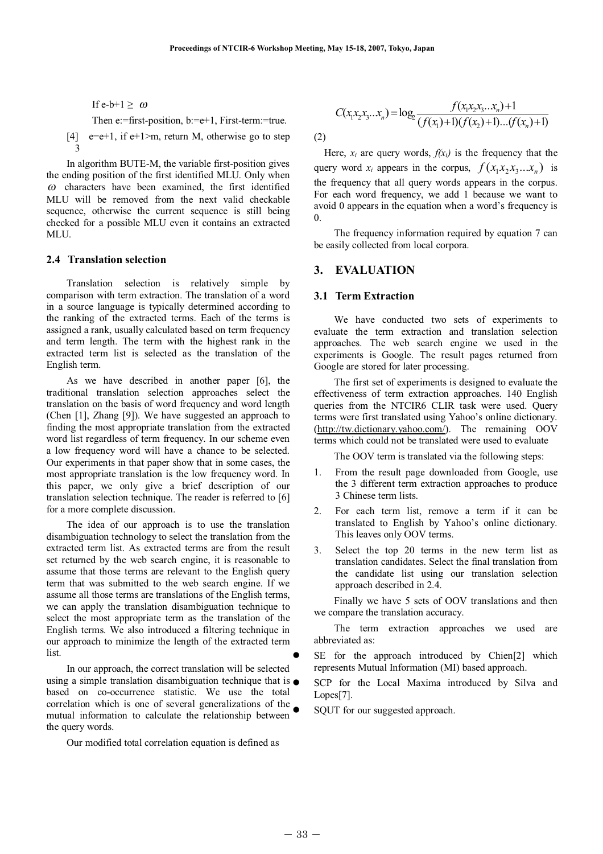If e-b+1  $\geq \omega$ 

Then e:=first-position, b:=e+1, First-term:=true.

[4]  $e=e+1$ , if  $e+1>m$ , return M, otherwise go to step 3

In algorithm BUTE-M, the variable first-position gives the ending position of the first identified MLU. Only when *<sup>ω</sup>* characters have been examined, the first identified MLU will be removed from the next valid checkable sequence, otherwise the current sequence is still being checked for a possible MLU even it contains an extracted MLU.

### **2.4 Translation selection**

Translation selection is relatively simple by comparison with term extraction. The translation of a word in a source language is typically determined according to the ranking of the extracted terms. Each of the terms is assigned a rank, usually calculated based on term frequency and term length. The term with the highest rank in the extracted term list is selected as the translation of the English term.

As we have described in another paper [6], the traditional translation selection approaches select the translation on the basis of word frequency and word length (Chen [1], Zhang [9]). We have suggested an approach to finding the most appropriate translation from the extracted word list regardless of term frequency. In our scheme even a low frequency word will have a chance to be selected. Our experiments in that paper show that in some cases, the most appropriate translation is the low frequency word. In this paper, we only give a brief description of our translation selection technique. The reader is referred to [6] for a more complete discussion.

The idea of our approach is to use the translation disambiguation technology to select the translation from the extracted term list. As extracted terms are from the result set returned by the web search engine, it is reasonable to assume that those terms are relevant to the English query term that was submitted to the web search engine. If we assume all those terms are translations of the English terms, we can apply the translation disambiguation technique to select the most appropriate term as the translation of the English terms. We also introduced a filtering technique in our approach to minimize the length of the extracted term list.  $\bullet$ 

In our approach, the correct translation will be selected using a simple translation disambiguation technique that is  $\bullet$ based on co-occurrence statistic. We use the total correlation which is one of several generalizations of the mutual information to calculate the relationship between the query words.  $\bullet$ 

Our modified total correlation equation is defined as

$$
C(x_1x_2x_3...x_n) = \log_2 \frac{f(x_1x_2x_3...x_n) + 1}{(f(x_1) + 1)(f(x_2) + 1)...(f(x_n) + 1)}
$$

(2)

Here,  $x_i$  are query words,  $f(x_i)$  is the frequency that the query word  $x_i$  appears in the corpus,  $f(x_1x_2, x_3...x_n)$  is the frequency that all query words appears in the corpus. For each word frequency, we add 1 because we want to avoid 0 appears in the equation when a word's frequency is  $\theta$ .

The frequency information required by equation 7 can be easily collected from local corpora.

## **3. EVALUATION**

#### **3.1 Term Extraction**

We have conducted two sets of experiments to evaluate the term extraction and translation selection approaches. The web search engine we used in the experiments is Google. The result pages returned from Google are stored for later processing.

The first set of experiments is designed to evaluate the effectiveness of term extraction approaches. 140 English queries from the NTCIR6 CLIR task were used. Query terms were first translated using Yahoo's online dictionary. (http://tw.dictionary.yahoo.com/). The remaining OOV terms which could not be translated were used to evaluate

The OOV term is translated via the following steps:

- 1. From the result page downloaded from Google, use the 3 different term extraction approaches to produce 3 Chinese term lists.
- 2. For each term list, remove a term if it can be translated to English by Yahoo's online dictionary. This leaves only OOV terms.
- 3. Select the top 20 terms in the new term list as translation candidates. Select the final translation from the candidate list using our translation selection approach described in 2.4.

Finally we have 5 sets of OOV translations and then we compare the translation accuracy.

The term extraction approaches we used are abbreviated as:

 SE for the approach introduced by Chien[2] which represents Mutual Information (MI) based approach.

 SCP for the Local Maxima introduced by Silva and Lopes[7].

SQUT for our suggested approach.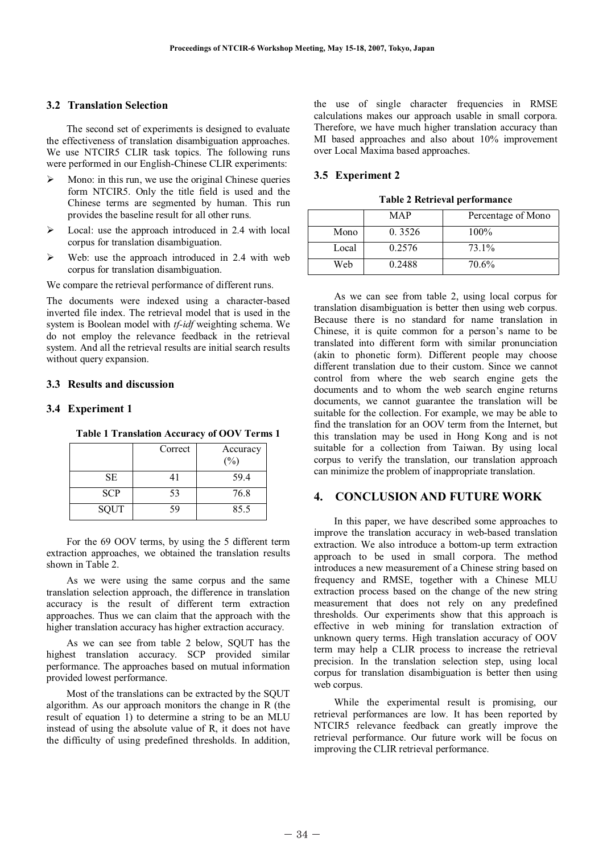## **3.2 Translation Selection**

The second set of experiments is designed to evaluate the effectiveness of translation disambiguation approaches. We use NTCIR5 CLIR task topics. The following runs were performed in our English-Chinese CLIR experiments:

- $\triangleright$  Mono: in this run, we use the original Chinese queries form NTCIR5. Only the title field is used and the Chinese terms are segmented by human. This run provides the baseline result for all other runs.
- Local: use the approach introduced in 2.4 with local corpus for translation disambiguation.
- Web: use the approach introduced in 2.4 with web corpus for translation disambiguation.

We compare the retrieval performance of different runs.

The documents were indexed using a character-based inverted file index. The retrieval model that is used in the system is Boolean model with *tf-idf* weighting schema. We do not employ the relevance feedback in the retrieval system. And all the retrieval results are initial search results without query expansion.

### **3.3 Results and discussion**

#### **3.4 Experiment 1**

|             | Correct | Accuracy<br>$(\%)$ |
|-------------|---------|--------------------|
| <b>SE</b>   | 41      | 59.4               |
| <b>SCP</b>  | 53      | 76.8               |
| <b>SQUT</b> | 59      | 85.5               |

**Table 1 Translation Accuracy of OOV Terms 1**

For the 69 OOV terms, by using the 5 different term extraction approaches, we obtained the translation results shown in Table 2.

As we were using the same corpus and the same translation selection approach, the difference in translation accuracy is the result of different term extraction approaches. Thus we can claim that the approach with the higher translation accuracy has higher extraction accuracy.

As we can see from table 2 below, SQUT has the highest translation accuracy. SCP provided similar performance. The approaches based on mutual information provided lowest performance.

Most of the translations can be extracted by the SQUT algorithm. As our approach monitors the change in R (the result of equation 1) to determine a string to be an MLU instead of using the absolute value of R, it does not have the difficulty of using predefined thresholds. In addition, the use of single character frequencies in RMSE calculations makes our approach usable in small corpora. Therefore, we have much higher translation accuracy than MI based approaches and also about 10% improvement over Local Maxima based approaches.

## **3.5 Experiment 2**

**Table 2 Retrieval performance**

|       | MAP    | Percentage of Mono |
|-------|--------|--------------------|
| Mono  | 0.3526 | $100\%$            |
| Local | 0.2576 | 73.1%              |
| Web   | 0.2488 | 70.6%              |

As we can see from table 2, using local corpus for translation disambiguation is better then using web corpus. Because there is no standard for name translation in Chinese, it is quite common for a person's name to be translated into different form with similar pronunciation (akin to phonetic form). Different people may choose different translation due to their custom. Since we cannot control from where the web search engine gets the documents and to whom the web search engine returns documents, we cannot guarantee the translation will be suitable for the collection. For example, we may be able to find the translation for an OOV term from the Internet, but this translation may be used in Hong Kong and is not suitable for a collection from Taiwan. By using local corpus to verify the translation, our translation approach can minimize the problem of inappropriate translation.

# **4. CONCLUSION AND FUTURE WORK**

In this paper, we have described some approaches to improve the translation accuracy in web-based translation extraction. We also introduce a bottom-up term extraction approach to be used in small corpora. The method introduces a new measurement of a Chinese string based on frequency and RMSE, together with a Chinese MLU extraction process based on the change of the new string measurement that does not rely on any predefined thresholds. Our experiments show that this approach is effective in web mining for translation extraction of unknown query terms. High translation accuracy of OOV term may help a CLIR process to increase the retrieval precision. In the translation selection step, using local corpus for translation disambiguation is better then using web corpus.

While the experimental result is promising, our retrieval performances are low. It has been reported by NTCIR5 relevance feedback can greatly improve the retrieval performance. Our future work will be focus on improving the CLIR retrieval performance.